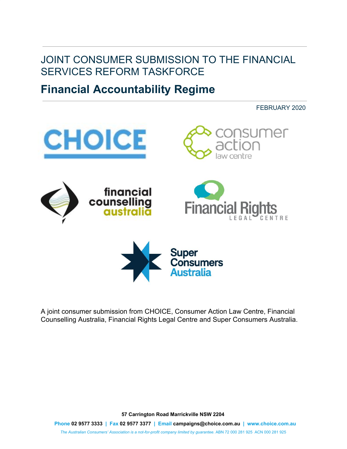## JOINT CONSUMER SUBMISSION TO THE FINANCIAL SERVICES REFORM TASKFORCE

# **Financial Accountability Regime**

FEBRUARY 2020



A joint consumer submission from CHOICE, Consumer Action Law Centre, Financial Counselling Australia, Financial Rights Legal Centre and Super Consumers Australia.

**57 Carrington Road Marrickville NSW 2204**

**Phone 02 9577 3333 | Fax 02 9577 3377 | Email campaigns@choice.com.au | www.choice.com.au**

*The Australian Consumers' Association is a not-for-profit company limited by guarantee.* ABN 72 000 281 925 ACN 000 281 925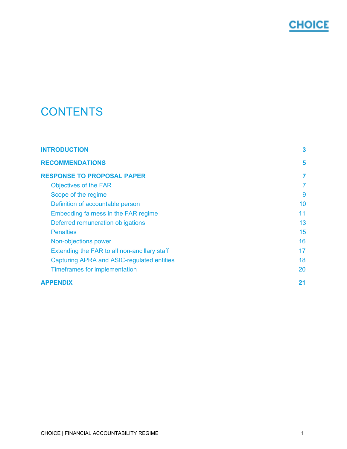

# **CONTENTS**

| <b>INTRODUCTION</b>                          | 3  |
|----------------------------------------------|----|
| <b>RECOMMENDATIONS</b>                       | 5  |
| <b>RESPONSE TO PROPOSAL PAPER</b>            | 7  |
| <b>Objectives of the FAR</b>                 | 7  |
| Scope of the regime                          | 9  |
| Definition of accountable person             | 10 |
| Embedding fairness in the FAR regime         | 11 |
| Deferred remuneration obligations            | 13 |
| <b>Penalties</b>                             | 15 |
| Non-objections power                         | 16 |
| Extending the FAR to all non-ancillary staff | 17 |
| Capturing APRA and ASIC-regulated entities   | 18 |
| Timeframes for implementation                | 20 |
| <b>APPENDIX</b>                              | 21 |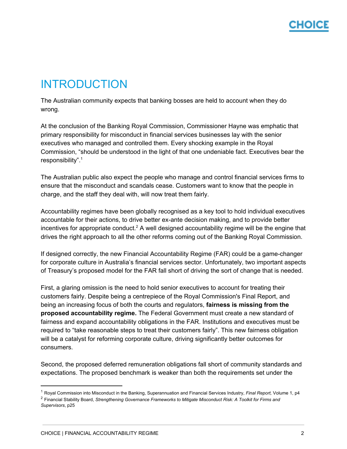# <span id="page-2-0"></span>INTRODUCTION

The Australian community expects that banking bosses are held to account when they do wrong.

At the conclusion of the Banking Royal Commission, Commissioner Hayne was emphatic that primary responsibility for misconduct in financial services businesses lay with the senior executives who managed and controlled them. Every shocking example in the Royal Commission, "should be understood in the light of that one undeniable fact. Executives bear the responsibility". 1

The Australian public also expect the people who manage and control financial services firms to ensure that the misconduct and scandals cease. Customers want to know that the people in charge, and the staff they deal with, will now treat them fairly.

Accountability regimes have been globally recognised as a key tool to hold individual executives accountable for their actions, to drive better ex-ante decision making, and to provide better incentives for appropriate conduct.<sup>2</sup> A well designed accountability regime will be the engine that drives the right approach to all the other reforms coming out of the Banking Royal Commission.

If designed correctly, the new Financial Accountability Regime (FAR) could be a game-changer for corporate culture in Australia's financial services sector. Unfortunately, two important aspects of Treasury's proposed model for the FAR fall short of driving the sort of change that is needed.

First, a glaring omission is the need to hold senior executives to account for treating their customers fairly. Despite being a centrepiece of the Royal Commission's Final Report, and being an increasing focus of both the courts and regulators, **fairness is missing from the proposed accountability regime.** The Federal Government must create a new standard of fairness and expand accountability obligations in the FAR. Institutions and executives must be required to "take reasonable steps to treat their customers fairly". This new fairness obligation will be a catalyst for reforming corporate culture, driving significantly better outcomes for consumers.

Second, the proposed deferred remuneration obligations fall short of community standards and expectations. The proposed benchmark is weaker than both the requirements set under the

<sup>1</sup> Royal Commission into Misconduct in the Banking, Superannuation and Financial Services Industry, *Final Report,* Volume 1, p4

<sup>2</sup> Financial Stability Board, *Strengthening Governance Frameworks to Mitigate Misconduct Risk: A Toolkit for Firms and Supervisors*, p25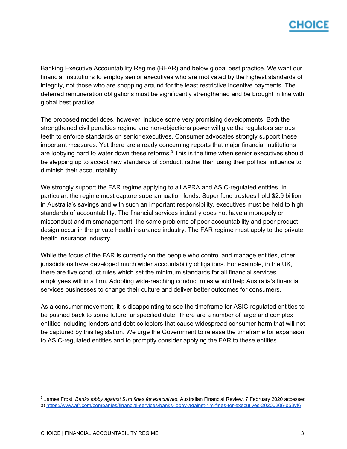Banking Executive Accountability Regime (BEAR) and below global best practice. We want our financial institutions to employ senior executives who are motivated by the highest standards of integrity, not those who are shopping around for the least restrictive incentive payments. The deferred remuneration obligations must be significantly strengthened and be brought in line with global best practice.

The proposed model does, however, include some very promising developments. Both the strengthened civil penalties regime and non-objections power will give the regulators serious teeth to enforce standards on senior executives. Consumer advocates strongly support these important measures. Yet there are already concerning reports that major financial institutions are lobbying hard to water down these reforms. $3$  This is the time when senior executives should be stepping up to accept new standards of conduct, rather than using their political influence to diminish their accountability.

We strongly support the FAR regime applying to all APRA and ASIC-regulated entities. In particular, the regime must capture superannuation funds. Super fund trustees hold \$2.9 billion in Australia's savings and with such an important responsibility, executives must be held to high standards of accountability. The financial services industry does not have a monopoly on misconduct and mismanagement, the same problems of poor accountability and poor product design occur in the private health insurance industry. The FAR regime must apply to the private health insurance industry.

While the focus of the FAR is currently on the people who control and manage entities, other jurisdictions have developed much wider accountability obligations. For example, in the UK, there are five conduct rules which set the minimum standards for all financial services employees within a firm. Adopting wide-reaching conduct rules would help Australia's financial services businesses to change their culture and deliver better outcomes for consumers.

As a consumer movement, it is disappointing to see the timeframe for ASIC-regulated entities to be pushed back to some future, unspecified date. There are a number of large and complex entities including lenders and debt collectors that cause widespread consumer harm that will not be captured by this legislation. We urge the Government to release the timeframe for expansion to ASIC-regulated entities and to promptly consider applying the FAR to these entities.

<sup>3</sup> James Frost, *Banks lobby against \$1m fines for executives*, Australian Financial Review, 7 February 2020 accessed at <https://www.afr.com/companies/financial-services/banks-lobby-against-1m-fines-for-executives-20200206-p53yf6>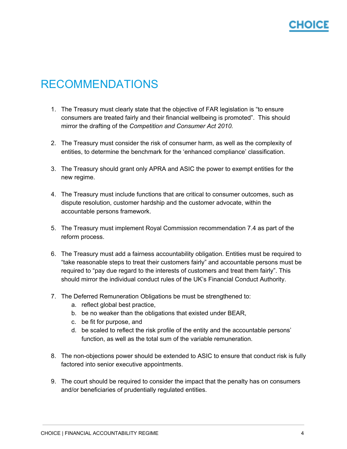# <span id="page-4-0"></span>RECOMMENDATIONS

- 1. The Treasury must clearly state that the objective of FAR legislation is "to ensure consumers are treated fairly and their financial wellbeing is promoted". This should mirror the drafting of the *Competition and Consumer Act 2010.*
- 2. The Treasury must consider the risk of consumer harm, as well as the complexity of entities, to determine the benchmark for the 'enhanced compliance' classification.
- 3. The Treasury should grant only APRA and ASIC the power to exempt entities for the new regime.
- 4. The Treasury must include functions that are critical to consumer outcomes, such as dispute resolution, customer hardship and the customer advocate, within the accountable persons framework.
- 5. The Treasury must implement Royal Commission recommendation 7.4 as part of the reform process.
- 6. The Treasury must add a fairness accountability obligation. Entities must be required to "take reasonable steps to treat their customers fairly" and accountable persons must be required to "pay due regard to the interests of customers and treat them fairly". This should mirror the individual conduct rules of the UK's Financial Conduct Authority.
- 7. The Deferred Remuneration Obligations be must be strengthened to:
	- a. reflect global best practice,
	- b. be no weaker than the obligations that existed under BEAR,
	- c. be fit for purpose, and
	- d. be scaled to reflect the risk profile of the entity and the accountable persons' function, as well as the total sum of the variable remuneration.
- 8. The non-objections power should be extended to ASIC to ensure that conduct risk is fully factored into senior executive appointments.
- 9. The court should be required to consider the impact that the penalty has on consumers and/or beneficiaries of prudentially regulated entities.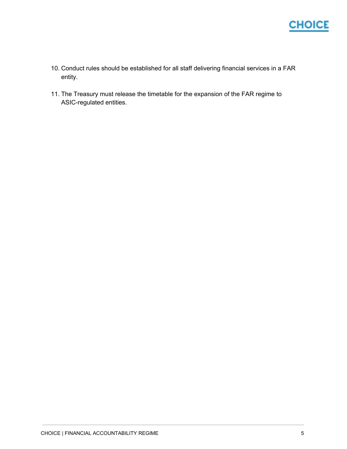

- 10. Conduct rules should be established for all staff delivering financial services in a FAR entity.
- 11. The Treasury must release the timetable for the expansion of the FAR regime to ASIC-regulated entities.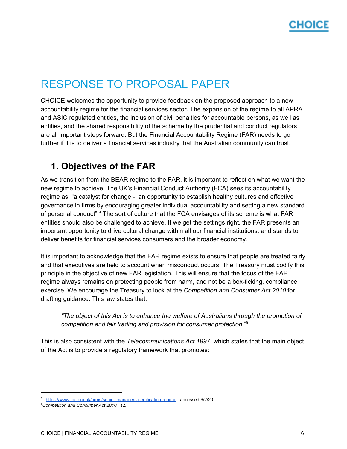# <span id="page-6-0"></span>RESPONSE TO PROPOSAL PAPER

CHOICE welcomes the opportunity to provide feedback on the proposed approach to a new accountability regime for the financial services sector. The expansion of the regime to all APRA and ASIC regulated entities, the inclusion of civil penalties for accountable persons, as well as entities, and the shared responsibility of the scheme by the prudential and conduct regulators are all important steps forward. But the Financial Accountability Regime (FAR) needs to go further if it is to deliver a financial services industry that the Australian community can trust.

## <span id="page-6-1"></span>**1. Objectives of the FAR**

As we transition from the BEAR regime to the FAR, it is important to reflect on what we want the new regime to achieve. The UK's Financial Conduct Authority (FCA) sees its accountability regime as, "a catalyst for change - an opportunity to establish healthy cultures and effective governance in firms by encouraging greater individual accountability and setting a new standard of personal conduct".<sup>4</sup> The sort of culture that the FCA envisages of its scheme is what FAR entities should also be challenged to achieve. If we get the settings right, the FAR presents an important opportunity to drive cultural change within all our financial institutions, and stands to deliver benefits for financial services consumers and the broader economy.

It is important to acknowledge that the FAR regime exists to ensure that people are treated fairly and that executives are held to account when misconduct occurs. The Treasury must codify this principle in the objective of new FAR legislation. This will ensure that the focus of the FAR regime always remains on protecting people from harm, and not be a box-ticking, compliance exercise. We encourage the Treasury to look at the *Competition and Consumer Act 2010* for drafting guidance. This law states that,

*"The object of this Act is to enhance the welfare of Australians through the promotion of competition and fair trading and provision for consumer protection.*" 5

This is also consistent with the *Telecommunications Act 1997*, which states that the main object of the Act is to provide a regulatory framework that promotes:

<sup>4</sup> <https://www.fca.org.uk/firms/senior-managers-certification-regime>, accessed 6/2/20

*<sup>5</sup>Competition and Consumer Act 2010,* s2,.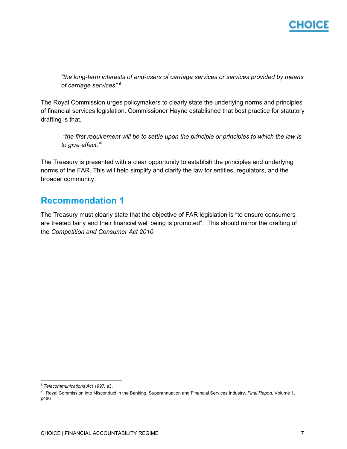*"the long-term interests of end-users of carriage services or services provided by means of carriage services". 6*

The Royal Commission urges policymakers to clearly state the underlying norms and principles of financial services legislation. Commissioner Hayne established that best practice for statutory drafting is that,

*"the first requirement will be to settle upon the principle or principles to which the law is to give effect." 7*

The Treasury is presented with a clear opportunity to establish the principles and underlying norms of the FAR. This will help simplify and clarify the law for entities, regulators, and the broader community.

#### **Recommendation 1**

The Treasury must clearly state that the objective of FAR legislation is "to ensure consumers are treated fairly and their financial well being is promoted". This should mirror the drafting of the *Competition and Consumer Act 2010.*

<sup>6</sup> *Telecommunications Act 1997,* s3,

<sup>7</sup> Royal Commission into Misconduct in the Banking, Superannuation and Financial Services Industry, *Final Report,* Volume 1, p486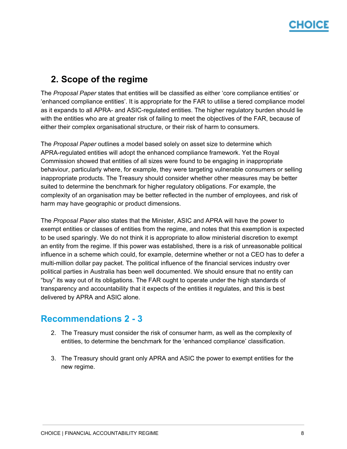## <span id="page-8-0"></span>**2. Scope of the regime**

The *Proposal Paper* states that entities will be classified as either 'core compliance entities' or 'enhanced compliance entities'. It is appropriate for the FAR to utilise a tiered compliance model as it expands to all APRA- and ASIC-regulated entities. The higher regulatory burden should lie with the entities who are at greater risk of failing to meet the objectives of the FAR, because of either their complex organisational structure, or their risk of harm to consumers.

The *Proposal Paper* outlines a model based solely on asset size to determine which APRA-regulated entities will adopt the enhanced compliance framework. Yet the Royal Commission showed that entities of all sizes were found to be engaging in inappropriate behaviour, particularly where, for example, they were targeting vulnerable consumers or selling inappropriate products. The Treasury should consider whether other measures may be better suited to determine the benchmark for higher regulatory obligations. For example, the complexity of an organisation may be better reflected in the number of employees, and risk of harm may have geographic or product dimensions.

The *Proposal Paper* also states that the Minister, ASIC and APRA will have the power to exempt entities or classes of entities from the regime, and notes that this exemption is expected to be used sparingly. We do not think it is appropriate to allow ministerial discretion to exempt an entity from the regime. If this power was established, there is a risk of unreasonable political influence in a scheme which could, for example, determine whether or not a CEO has to defer a multi-million dollar pay packet. The political influence of the financial services industry over political parties in Australia has been well documented. We should ensure that no entity can "buy" its way out of its obligations. The FAR ought to operate under the high standards of transparency and accountability that it expects of the entities it regulates, and this is best delivered by APRA and ASIC alone.

#### **Recommendations 2 - 3**

- 2. The Treasury must consider the risk of consumer harm, as well as the complexity of entities, to determine the benchmark for the 'enhanced compliance' classification.
- 3. The Treasury should grant only APRA and ASIC the power to exempt entities for the new regime.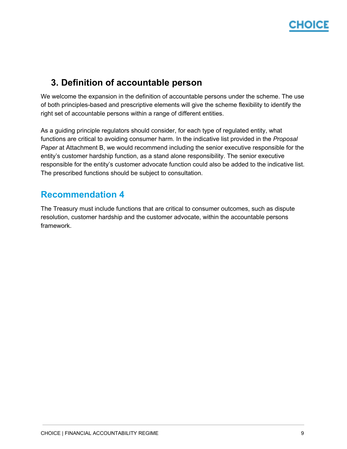## <span id="page-9-0"></span>**3. Definition of accountable person**

We welcome the expansion in the definition of accountable persons under the scheme. The use of both principles-based and prescriptive elements will give the scheme flexibility to identify the right set of accountable persons within a range of different entities.

As a guiding principle regulators should consider, for each type of regulated entity, what functions are critical to avoiding consumer harm. In the indicative list provided in the *Proposal Paper* at Attachment B, we would recommend including the senior executive responsible for the entity's customer hardship function, as a stand alone responsibility. The senior executive responsible for the entity's customer advocate function could also be added to the indicative list. The prescribed functions should be subject to consultation.

#### **Recommendation 4**

The Treasury must include functions that are critical to consumer outcomes, such as dispute resolution, customer hardship and the customer advocate, within the accountable persons framework.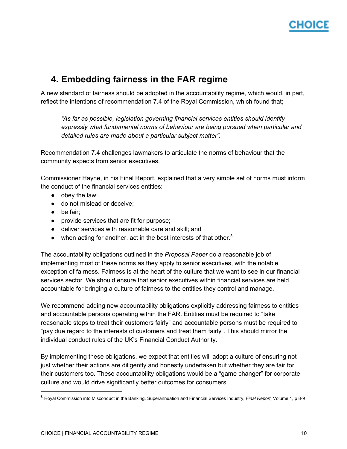## <span id="page-10-0"></span>**4. Embedding fairness in the FAR regime**

A new standard of fairness should be adopted in the accountability regime, which would, in part, reflect the intentions of recommendation 7.4 of the Royal Commission, which found that;

*"As far as possible, legislation governing financial services entities should identify expressly what fundamental norms of behaviour are being pursued when particular and detailed rules are made about a particular subject matter".*

Recommendation 7.4 challenges lawmakers to articulate the norms of behaviour that the community expects from senior executives.

Commissioner Hayne, in his Final Report, explained that a very simple set of norms must inform the conduct of the financial services entities:

- $\bullet$  obey the law;
- do not mislead or deceive:
- be fair;
- provide services that are fit for purpose;
- deliver services with reasonable care and skill; and
- $\bullet$  when acting for another, act in the best interests of that other.<sup>8</sup>

The accountability obligations outlined in the *Proposal Paper* do a reasonable job of implementing most of these norms as they apply to senior executives, with the notable exception of fairness. Fairness is at the heart of the culture that we want to see in our financial services sector. We should ensure that senior executives within financial services are held accountable for bringing a culture of fairness to the entities they control and manage.

We recommend adding new accountability obligations explicitly addressing fairness to entities and accountable persons operating within the FAR. Entities must be required to "take reasonable steps to treat their customers fairly" and accountable persons must be required to "pay due regard to the interests of customers and treat them fairly". This should mirror the individual conduct rules of the UK's Financial Conduct Authority.

By implementing these obligations, we expect that entities will adopt a culture of ensuring not just whether their actions are diligently and honestly undertaken but whether they are fair for their customers too. These accountability obligations would be a "game changer" for corporate culture and would drive significantly better outcomes for consumers.

<sup>8</sup> Royal Commission into Misconduct in the Banking, Superannuation and Financial Services Industry, *Final Report,* Volume 1, p 8-9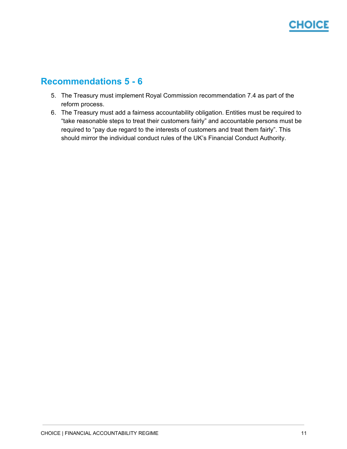# CHOICE

## **Recommendations 5 - 6**

- 5. The Treasury must implement Royal Commission recommendation 7.4 as part of the reform process.
- 6. The Treasury must add a fairness accountability obligation. Entities must be required to "take reasonable steps to treat their customers fairly" and accountable persons must be required to "pay due regard to the interests of customers and treat them fairly". This should mirror the individual conduct rules of the UK's Financial Conduct Authority.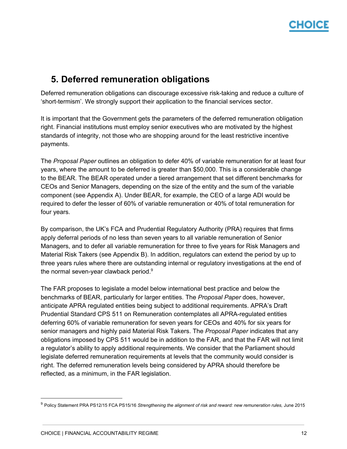### <span id="page-12-0"></span>**5. Deferred remuneration obligations**

Deferred remuneration obligations can discourage excessive risk-taking and reduce a culture of 'short-termism'. We strongly support their application to the financial services sector.

It is important that the Government gets the parameters of the deferred remuneration obligation right. Financial institutions must employ senior executives who are motivated by the highest standards of integrity, not those who are shopping around for the least restrictive incentive payments.

The *Proposal Paper* outlines an obligation to defer 40% of variable remuneration for at least four years, where the amount to be deferred is greater than \$50,000. This is a considerable change to the BEAR. The BEAR operated under a tiered arrangement that set different benchmarks for CEOs and Senior Managers, depending on the size of the entity and the sum of the variable component (see Appendix A). Under BEAR, for example, the CEO of a large ADI would be required to defer the lesser of 60% of variable remuneration or 40% of total remuneration for four years.

By comparison, the UK's FCA and Prudential Regulatory Authority (PRA) requires that firms apply deferral periods of no less than seven years to all variable remuneration of Senior Managers, and to defer all variable remuneration for three to five years for Risk Managers and Material Risk Takers (see Appendix B). In addition, regulators can extend the period by up to three years rules where there are outstanding internal or regulatory investigations at the end of the normal seven-year clawback period.<sup>9</sup>

The FAR proposes to legislate a model below international best practice and below the benchmarks of BEAR, particularly for larger entities. The *Proposal Paper* does, however, anticipate APRA regulated entities being subject to additional requirements. APRA's Draft Prudential Standard CPS 511 on Remuneration contemplates all APRA-regulated entities deferring 60% of variable remuneration for seven years for CEOs and 40% for six years for senior managers and highly paid Material Risk Takers. The *Proposal Paper* indicates that any obligations imposed by CPS 511 would be in addition to the FAR, and that the FAR will not limit a regulator's ability to apply additional requirements. We consider that the Parliament should legislate deferred remuneration requirements at levels that the community would consider is right. The deferred remuneration levels being considered by APRA should therefore be reflected, as a minimum, in the FAR legislation.

<sup>9</sup> Policy Statement PRA PS12/15 FCA PS15/16 *Strengthening the alignment of risk and reward: new remuneration rules,* June 2015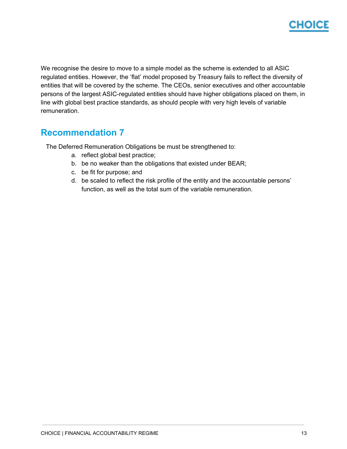

We recognise the desire to move to a simple model as the scheme is extended to all ASIC regulated entities. However, the 'flat' model proposed by Treasury fails to reflect the diversity of entities that will be covered by the scheme. The CEOs, senior executives and other accountable persons of the largest ASIC-regulated entities should have higher obligations placed on them, in line with global best practice standards, as should people with very high levels of variable remuneration.

#### **Recommendation 7**

The Deferred Remuneration Obligations be must be strengthened to:

- a. reflect global best practice;
- b. be no weaker than the obligations that existed under BEAR;
- c. be fit for purpose; and
- d. be scaled to reflect the risk profile of the entity and the accountable persons' function, as well as the total sum of the variable remuneration.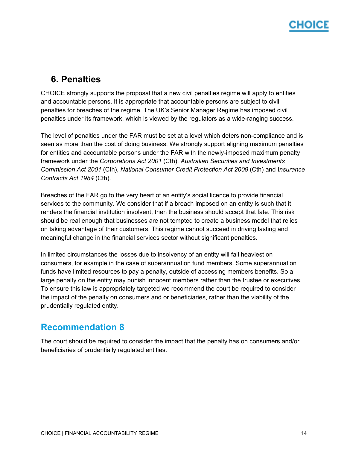## <span id="page-14-0"></span>**6. Penalties**

CHOICE strongly supports the proposal that a new civil penalties regime will apply to entities and accountable persons. It is appropriate that accountable persons are subject to civil penalties for breaches of the regime. The UK's Senior Manager Regime has imposed civil penalties under its framework, which is viewed by the regulators as a wide-ranging success.

The level of penalties under the FAR must be set at a level which deters non-compliance and is seen as more than the cost of doing business. We strongly support aligning maximum penalties for entities and accountable persons under the FAR with the newly-imposed maximum penalty framework under the *Corporations Act 2001* (Cth), *Australian Securities and Investments Commission Act 2001* (Cth), *National Consumer Credit Protection Act 2009* (Cth) and I*nsurance Contracts Act 1984* (Cth).

Breaches of the FAR go to the very heart of an entity's social licence to provide financial services to the community. We consider that if a breach imposed on an entity is such that it renders the financial institution insolvent, then the business should accept that fate. This risk should be real enough that businesses are not tempted to create a business model that relies on taking advantage of their customers. This regime cannot succeed in driving lasting and meaningful change in the financial services sector without significant penalties.

In limited circumstances the losses due to insolvency of an entity will fall heaviest on consumers, for example in the case of superannuation fund members. Some superannuation funds have limited resources to pay a penalty, outside of accessing members benefits. So a large penalty on the entity may punish innocent members rather than the trustee or executives. To ensure this law is appropriately targeted we recommend the court be required to consider the impact of the penalty on consumers and or beneficiaries, rather than the viability of the prudentially regulated entity.

#### **Recommendation 8**

The court should be required to consider the impact that the penalty has on consumers and/or beneficiaries of prudentially regulated entities.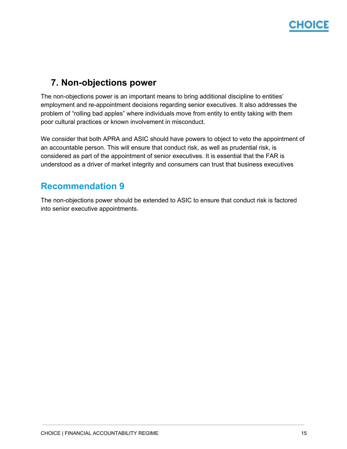# :HOIC

## <span id="page-15-0"></span>**7. Non-objections power**

The non-objections power is an important means to bring additional discipline to entities' employment and re-appointment decisions regarding senior executives. It also addresses the problem of "rolling bad apples" where individuals move from entity to entity taking with them poor cultural practices or known involvement in misconduct.

We consider that both APRA and ASIC should have powers to object to veto the appointment of an accountable person. This will ensure that conduct risk, as well as prudential risk, is considered as part of the appointment of senior executives. It is essential that the FAR is understood as a driver of market integrity and consumers can trust that business executives

### **Recommendation 9**

The non-objections power should be extended to ASIC to ensure that conduct risk is factored into senior executive appointments.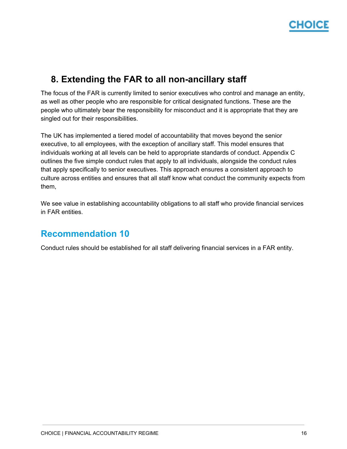

### <span id="page-16-0"></span>**8. Extending the FAR to all non-ancillary staff**

The focus of the FAR is currently limited to senior executives who control and manage an entity, as well as other people who are responsible for critical designated functions. These are the people who ultimately bear the responsibility for misconduct and it is appropriate that they are singled out for their responsibilities.

The UK has implemented a tiered model of accountability that moves beyond the senior executive, to all employees, with the exception of ancillary staff. This model ensures that individuals working at all levels can be held to appropriate standards of conduct. Appendix C outlines the five simple conduct rules that apply to all individuals, alongside the conduct rules that apply specifically to senior executives. This approach ensures a consistent approach to culture across entities and ensures that all staff know what conduct the community expects from them,

We see value in establishing accountability obligations to all staff who provide financial services in FAR entities.

#### **Recommendation 10**

Conduct rules should be established for all staff delivering financial services in a FAR entity.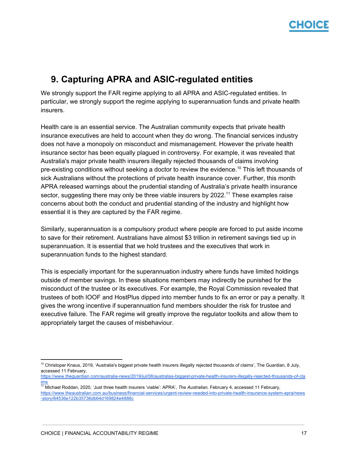### <span id="page-17-0"></span>**9. Capturing APRA and ASIC-regulated entities**

We strongly support the FAR regime applying to all APRA and ASIC-regulated entities. In particular, we strongly support the regime applying to superannuation funds and private health insurers.

Health care is an essential service. The Australian community expects that private health insurance executives are held to account when they do wrong. The financial services industry does not have a monopoly on misconduct and mismanagement. However the private health insurance sector has been equally plagued in controversy. For example, it was revealed that Australia's major private health insurers illegally rejected thousands of claims involving pre-existing conditions without seeking a doctor to review the evidence.<sup>10</sup> This left thousands of sick Australians without the protections of private health insurance cover. Further, this month APRA released warnings about the prudential standing of Australia's private health insurance sector, suggesting there may only be three viable insurers by 2022.<sup>11</sup> These examples raise concerns about both the conduct and prudential standing of the industry and highlight how essential it is they are captured by the FAR regime.

Similarly, superannuation is a compulsory product where people are forced to put aside income to save for their retirement. Australians have almost \$3 trillion in retirement savings tied up in superannuation. It is essential that we hold trustees and the executives that work in superannuation funds to the highest standard.

This is especially important for the superannuation industry where funds have limited holdings outside of member savings. In these situations members may indirectly be punished for the misconduct of the trustee or its executives. For example, the Royal Commission revealed that trustees of both IOOF and HostPlus dipped into member funds to fix an error or pay a penalty. It gives the wrong incentive if superannuation fund members shoulder the risk for trustee and executive failure. The FAR regime will greatly improve the regulator toolkits and allow them to appropriately target the causes of misbehaviour.

<sup>&</sup>lt;sup>10</sup> Christoper Knaus, 2019, 'Australia's biggest private health insurers illegally rejected thousands of claims', The Guardian, 8 July, accessed 11 February,

[https://www.theguardian.com/australia-news/2019/jul/08/australias-biggest-private-health-insurers-illegally-rejected-thousands-of-cla](https://www.theguardian.com/australia-news/2019/jul/08/australias-biggest-private-health-insurers-illegally-rejected-thousands-of-claims) [ims](https://www.theguardian.com/australia-news/2019/jul/08/australias-biggest-private-health-insurers-illegally-rejected-thousands-of-claims)

<sup>11</sup> Michael Roddan, 2020, 'Just three health insurers 'viable': APRA', *The Australian,* February 4, accessed 11 February, [https://www.theaustralian.com.au/business/financial-services/urgent-review-needed-into-private-health-insurance-system-apra/news](https://www.theaustralian.com.au/business/financial-services/urgent-review-needed-into-private-health-insurance-system-apra/news-story/84536e122b35736db64d169824e4888c) [-story/84536e122b35736db64d169824e4888c](https://www.theaustralian.com.au/business/financial-services/urgent-review-needed-into-private-health-insurance-system-apra/news-story/84536e122b35736db64d169824e4888c)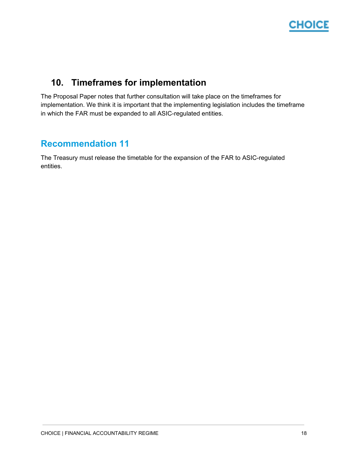

## <span id="page-18-0"></span>**10. Timeframes for implementation**

The Proposal Paper notes that further consultation will take place on the timeframes for implementation. We think it is important that the implementing legislation includes the timeframe in which the FAR must be expanded to all ASIC-regulated entities.

### **Recommendation 11**

The Treasury must release the timetable for the expansion of the FAR to ASIC-regulated entities.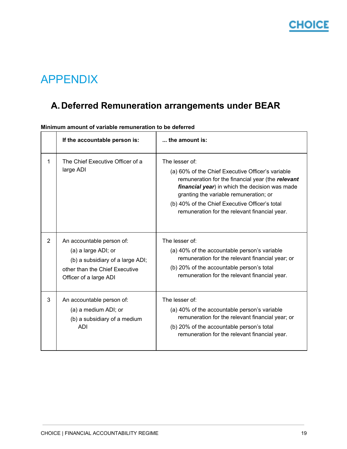

# <span id="page-19-0"></span>APPENDIX

## **A.Deferred Remuneration arrangements under BEAR**

|                | If the accountable person is:                                                                                                                    | the amount is:                                                                                                                                                                                                                                                                                                          |
|----------------|--------------------------------------------------------------------------------------------------------------------------------------------------|-------------------------------------------------------------------------------------------------------------------------------------------------------------------------------------------------------------------------------------------------------------------------------------------------------------------------|
| 1              | The Chief Executive Officer of a<br>large ADI                                                                                                    | The lesser of:<br>(a) 60% of the Chief Executive Officer's variable<br>remuneration for the financial year (the relevant<br>financial year) in which the decision was made<br>granting the variable remuneration; or<br>(b) 40% of the Chief Executive Officer's total<br>remuneration for the relevant financial year. |
| $\overline{2}$ | An accountable person of:<br>(a) a large ADI; or<br>(b) a subsidiary of a large ADI;<br>other than the Chief Executive<br>Officer of a large ADI | The lesser of:<br>(a) 40% of the accountable person's variable<br>remuneration for the relevant financial year; or<br>(b) 20% of the accountable person's total<br>remuneration for the relevant financial year.                                                                                                        |
| 3              | An accountable person of:<br>(a) a medium ADI; or<br>(b) a subsidiary of a medium<br>ADI                                                         | The lesser of:<br>(a) 40% of the accountable person's variable<br>remuneration for the relevant financial year; or<br>(b) 20% of the accountable person's total<br>remuneration for the relevant financial year.                                                                                                        |

**Minimum amount of variable remuneration to be deferred**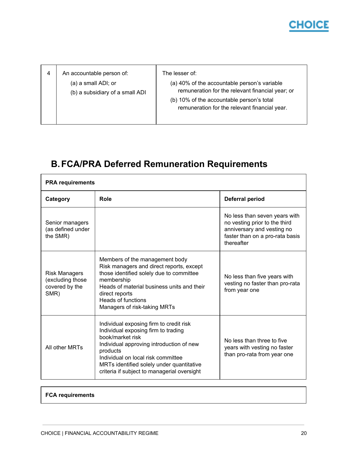# **CHOICE**

|  | An accountable person of:<br>(a) a small ADI; or<br>(b) a subsidiary of a small ADI | The lesser of:<br>(a) 40% of the accountable person's variable<br>remuneration for the relevant financial year; or<br>(b) 10% of the accountable person's total<br>remuneration for the relevant financial year. |
|--|-------------------------------------------------------------------------------------|------------------------------------------------------------------------------------------------------------------------------------------------------------------------------------------------------------------|
|--|-------------------------------------------------------------------------------------|------------------------------------------------------------------------------------------------------------------------------------------------------------------------------------------------------------------|

## **B.FCA/PRA Deferred Remuneration Requirements**

| <b>PRA</b> requirements                                            |                                                                                                                                                                                                                                                                                              |                                                                                                                                               |  |  |
|--------------------------------------------------------------------|----------------------------------------------------------------------------------------------------------------------------------------------------------------------------------------------------------------------------------------------------------------------------------------------|-----------------------------------------------------------------------------------------------------------------------------------------------|--|--|
| Category                                                           | Role                                                                                                                                                                                                                                                                                         | Deferral period                                                                                                                               |  |  |
| Senior managers<br>(as defined under<br>the SMR)                   |                                                                                                                                                                                                                                                                                              | No less than seven years with<br>no vesting prior to the third<br>anniversary and vesting no<br>faster than on a pro-rata basis<br>thereafter |  |  |
| <b>Risk Managers</b><br>(excluding those<br>covered by the<br>SMR) | Members of the management body<br>Risk managers and direct reports, except<br>those identified solely due to committee<br>membership<br>Heads of material business units and their<br>direct reports<br><b>Heads of functions</b><br>Managers of risk-taking MRTs                            | No less than five years with<br>vesting no faster than pro-rata<br>from year one                                                              |  |  |
| All other MRTs                                                     | Individual exposing firm to credit risk<br>Individual exposing firm to trading<br>book/market risk<br>Individual approving introduction of new<br>products<br>Individual on local risk committee<br>MRTs identified solely under quantitative<br>criteria if subject to managerial oversight | No less than three to five<br>years with vesting no faster<br>than pro-rata from year one                                                     |  |  |

#### **FCA requirements**